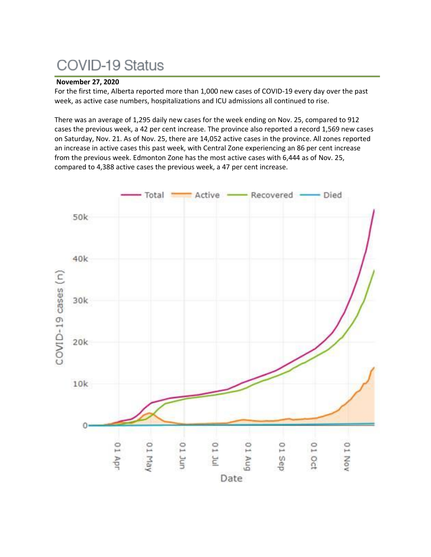# COVID-19 Status

## **November 27, 2020**

For the first time, Alberta reported more than 1,000 new cases of COVID-19 every day over the past week, as active case numbers, hospitalizations and ICU admissions all continued to rise.

There was an average of 1,295 daily new cases for the week ending on Nov. 25, compared to 912 cases the previous week, a 42 per cent increase. The province also reported a record 1,569 new cases on Saturday, Nov. 21. As of Nov. 25, there are 14,052 active cases in the province. All zones reported an increase in active cases this past week, with Central Zone experiencing an 86 per cent increase from the previous week. Edmonton Zone has the most active cases with 6,444 as of Nov. 25, compared to 4,388 active cases the previous week, a 47 per cent increase.

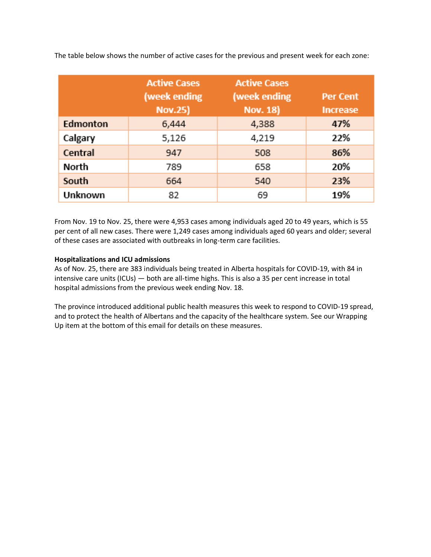|                | <b>Active Cases</b><br>(week ending<br><b>Nov.25)</b> | <b>Active Cases</b><br>(week ending<br><b>Nov. 18)</b> | <b>Per Cent</b><br><b>Increase</b> |
|----------------|-------------------------------------------------------|--------------------------------------------------------|------------------------------------|
| Edmonton       | 6,444                                                 | 4,388                                                  | 47%                                |
| Calgary        | 5,126                                                 | 4,219                                                  | 22%                                |
| Central        | 947                                                   | 508                                                    | 86%                                |
| North          | 789                                                   | 658                                                    | 20%                                |
| South          | 664                                                   | 540                                                    | 23%                                |
| <b>Unknown</b> | 82                                                    | 69                                                     | 19%                                |

The table below shows the number of active cases for the previous and present week for each zone:

From Nov. 19 to Nov. 25, there were 4,953 cases among individuals aged 20 to 49 years, which is 55 per cent of all new cases. There were 1,249 cases among individuals aged 60 years and older; several of these cases are associated with outbreaks in long-term care facilities.

## **Hospitalizations and ICU admissions**

As of Nov. 25, there are 383 individuals being treated in Alberta hospitals for COVID-19, with 84 in intensive care units (ICUs) — both are all-time highs. This is also a 35 per cent increase in total hospital admissions from the previous week ending Nov. 18.

The province introduced additional public health measures this week to respond to COVID-19 spread, and to protect the health of Albertans and the capacity of the healthcare system. See our Wrapping Up item at the bottom of this email for details on these measures.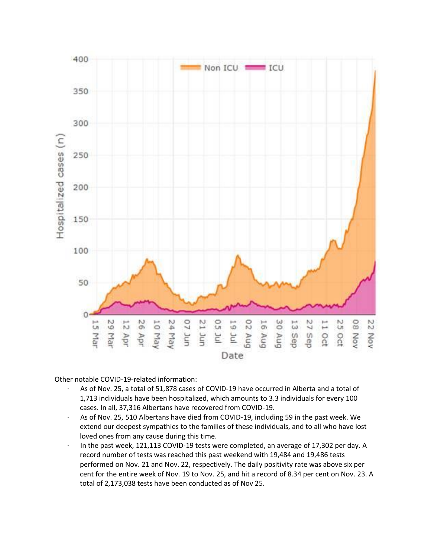

Other notable COVID-19-related information:

- · As of Nov. 25, a total of 51,878 cases of COVID-19 have occurred in Alberta and a total of 1,713 individuals have been hospitalized, which amounts to 3.3 individuals for every 100 cases. In all, 37,316 Albertans have recovered from COVID-19.
- · As of Nov. 25, 510 Albertans have died from COVID-19, including 59 in the past week. We extend our deepest sympathies to the families of these individuals, and to all who have lost loved ones from any cause during this time.
- · In the past week, 121,113 COVID-19 tests were completed, an average of 17,302 per day. A record number of tests was reached this past weekend with 19,484 and 19,486 tests performed on Nov. 21 and Nov. 22, respectively. The daily positivity rate was above six per cent for the entire week of Nov. 19 to Nov. 25, and hit a record of 8.34 per cent on Nov. 23. A total of 2,173,038 tests have been conducted as of Nov 25.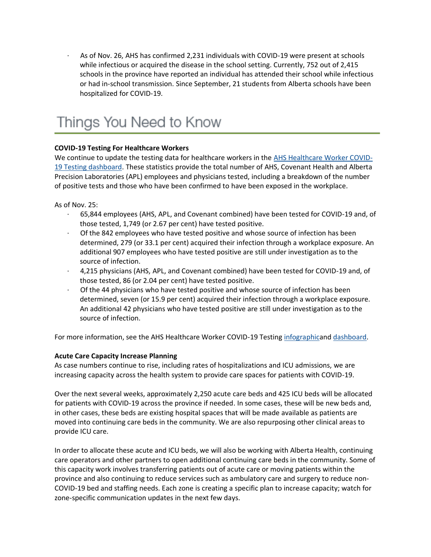· As of Nov. 26, AHS has confirmed 2,231 individuals with COVID-19 were present at schools while infectious or acquired the disease in the school setting. Currently, 752 out of 2,415 schools in the province have reported an individual has attended their school while infectious or had in-school transmission. Since September, 21 students from Alberta schools have been hospitalized for COVID-19.

# Things You Need to Know

## **COVID-19 Testing For Healthcare Workers**

We continue to update the testing data for healthcare workers in the [AHS Healthcare Worker COVID-](https://tableau.albertahealthservices.ca/#/views/AHSEmployeePhysicianCOVID-19TestSurveillanceDashboard/Introduction?:iid=1)[19 Testing dashboard.](https://tableau.albertahealthservices.ca/#/views/AHSEmployeePhysicianCOVID-19TestSurveillanceDashboard/Introduction?:iid=1) These statistics provide the total number of AHS, Covenant Health and Alberta Precision Laboratories (APL) employees and physicians tested, including a breakdown of the number of positive tests and those who have been confirmed to have been exposed in the workplace.

As of Nov. 25:

- · 65,844 employees (AHS, APL, and Covenant combined) have been tested for COVID-19 and, of those tested, 1,749 (or 2.67 per cent) have tested positive.
- · Of the 842 employees who have tested positive and whose source of infection has been determined, 279 (or 33.1 per cent) acquired their infection through a workplace exposure. An additional 907 employees who have tested positive are still under investigation as to the source of infection.
- · 4,215 physicians (AHS, APL, and Covenant combined) have been tested for COVID-19 and, of those tested, 86 (or 2.04 per cent) have tested positive.
- Of the 44 physicians who have tested positive and whose source of infection has been determined, seven (or 15.9 per cent) acquired their infection through a workplace exposure. An additional 42 physicians who have tested positive are still under investigation as to the source of infection.

For more information, see the AHS Healthcare Worker COVID-19 Testing [infographica](https://insite.albertahealthservices.ca/main/assets/tls/ep/tls-ep-covid-19-healthcare-worker-testing-infographic.pdf)nd [dashboard.](https://tableau.albertahealthservices.ca/#/views/AHSEmployeePhysicianCOVID-19TestSurveillanceDashboard/Introduction?:iid=1)

## **Acute Care Capacity Increase Planning**

As case numbers continue to rise, including rates of hospitalizations and ICU admissions, we are increasing capacity across the health system to provide care spaces for patients with COVID-19.

Over the next several weeks, approximately 2,250 acute care beds and 425 ICU beds will be allocated for patients with COVID-19 across the province if needed. In some cases, these will be new beds and, in other cases, these beds are existing hospital spaces that will be made available as patients are moved into continuing care beds in the community. We are also repurposing other clinical areas to provide ICU care.

In order to allocate these acute and ICU beds, we will also be working with Alberta Health, continuing care operators and other partners to open additional continuing care beds in the community. Some of this capacity work involves transferring patients out of acute care or moving patients within the province and also continuing to reduce services such as ambulatory care and surgery to reduce non-COVID-19 bed and staffing needs. Each zone is creating a specific plan to increase capacity; watch for zone-specific communication updates in the next few days.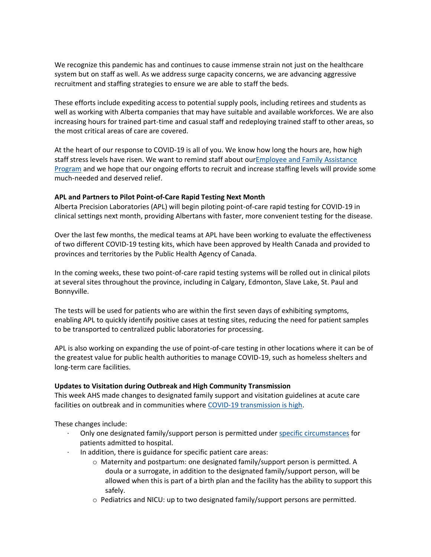We recognize this pandemic has and continues to cause immense strain not just on the healthcare system but on staff as well. As we address surge capacity concerns, we are advancing aggressive recruitment and staffing strategies to ensure we are able to staff the beds.

These efforts include expediting access to potential supply pools, including retirees and students as well as working with Alberta companies that may have suitable and available workforces. We are also increasing hours for trained part-time and casual staff and redeploying trained staff to other areas, so the most critical areas of care are covered.

At the heart of our response to COVID-19 is all of you. We know how long the hours are, how high staff stress levels have risen. We want to remind staff about ou[rEmployee and Family Assistance](https://insite.albertahealthservices.ca/hr/Page964.aspx)  **[Program](https://insite.albertahealthservices.ca/hr/Page964.aspx) and we hope that our ongoing efforts to recruit and increase staffing levels will provide some** much-needed and deserved relief.

## **APL and Partners to Pilot Point-of-Care Rapid Testing Next Month**

Alberta Precision Laboratories (APL) will begin piloting point-of-care rapid testing for COVID-19 in clinical settings next month, providing Albertans with faster, more convenient testing for the disease.

Over the last few months, the medical teams at APL have been working to evaluate the effectiveness of two different COVID-19 testing kits, which have been approved by Health Canada and provided to provinces and territories by the Public Health Agency of Canada.

In the coming weeks, these two point-of-care rapid testing systems will be rolled out in clinical pilots at several sites throughout the province, including in Calgary, Edmonton, Slave Lake, St. Paul and Bonnyville.

The tests will be used for patients who are within the first seven days of exhibiting symptoms, enabling APL to quickly identify positive cases at testing sites, reducing the need for patient samples to be transported to centralized public laboratories for processing.

APL is also working on expanding the use of point-of-care testing in other locations where it can be of the greatest value for public health authorities to manage COVID-19, such as homeless shelters and long-term care facilities.

### **Updates to Visitation during Outbreak and High Community Transmission**

This week AHS made changes to designated family support and visitation guidelines at acute care facilities on outbreak and in communities where [COVID-19 transmission is high.](https://www.alberta.ca/maps/covid-19-status-map.htm)

These changes include:

- · Only one designated family/support person is permitted under [specific circumstances](https://www.albertahealthservices.ca/assets/info/ppih/if-ppih-covid-19-guidance-dfsp-outbreak-enhanced-community-transmission.pdf) for patients admitted to hospital.
- In addition, there is guidance for specific patient care areas:
	- $\circ$  Maternity and postpartum: one designated family/support person is permitted. A doula or a surrogate, in addition to the designated family/support person, will be allowed when this is part of a birth plan and the facility has the ability to support this safely.
	- $\circ$  Pediatrics and NICU: up to two designated family/support persons are permitted.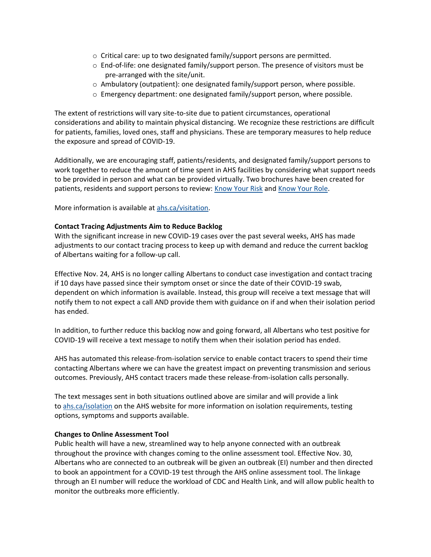- $\circ$  Critical care: up to two designated family/support persons are permitted.
- o End-of-life: one designated family/support person. The presence of visitors must be pre-arranged with the site/unit.
- o Ambulatory (outpatient): one designated family/support person, where possible.
- o Emergency department: one designated family/support person, where possible.

The extent of restrictions will vary site-to-site due to patient circumstances, operational considerations and ability to maintain physical distancing. We recognize these restrictions are difficult for patients, families, loved ones, staff and physicians. These are temporary measures to help reduce the exposure and spread of COVID-19.

Additionally, we are encouraging staff, patients/residents, and designated family/support persons to work together to reduce the amount of time spent in AHS facilities by considering what support needs to be provided in person and what can be provided virtually. Two brochures have been created for patients, residents and support persons to review: [Know Your Risk](https://www.albertahealthservices.ca/assets/info/ppih/if-ppih-covid-19-dfsp-know-your-risk.pdf) and [Know Your Role.](https://www.albertahealthservices.ca/assets/info/ppih/if-ppih-covid-19-dfsp-know-your-role.pdf)

More information is available at [ahs.ca/visitation.](https://www.albertahealthservices.ca/topics/Page17001.aspx#hospital)

## **Contact Tracing Adjustments Aim to Reduce Backlog**

With the significant increase in new COVID-19 cases over the past several weeks, AHS has made adjustments to our contact tracing process to keep up with demand and reduce the current backlog of Albertans waiting for a follow-up call.

Effective Nov. 24, AHS is no longer calling Albertans to conduct case investigation and contact tracing if 10 days have passed since their symptom onset or since the date of their COVID-19 swab, dependent on which information is available. Instead, this group will receive a text message that will notify them to not expect a call AND provide them with guidance on if and when their isolation period has ended.

In addition, to further reduce this backlog now and going forward, all Albertans who test positive for COVID-19 will receive a text message to notify them when their isolation period has ended.

AHS has automated this release-from-isolation service to enable contact tracers to spend their time contacting Albertans where we can have the greatest impact on preventing transmission and serious outcomes. Previously, AHS contact tracers made these release-from-isolation calls personally.

The text messages sent in both situations outlined above are similar and will provide a link to [ahs.ca/isolation](https://www.albertahealthservices.ca/topics/Page17239.aspx) on the AHS website for more information on isolation requirements, testing options, symptoms and supports available.

### **Changes to Online Assessment Tool**

Public health will have a new, streamlined way to help anyone connected with an outbreak throughout the province with changes coming to the online assessment tool. Effective Nov. 30, Albertans who are connected to an outbreak will be given an outbreak (EI) number and then directed to book an appointment for a COVID-19 test through the AHS online assessment tool. The linkage through an EI number will reduce the workload of CDC and Health Link, and will allow public health to monitor the outbreaks more efficiently.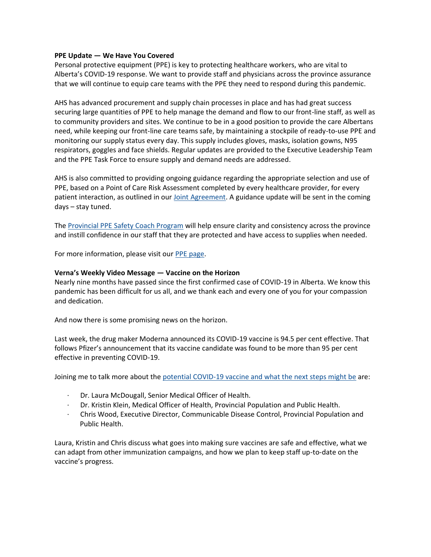## **PPE Update — We Have You Covered**

Personal protective equipment (PPE) is key to protecting healthcare workers, who are vital to Alberta's COVID-19 response. We want to provide staff and physicians across the province assurance that we will continue to equip care teams with the PPE they need to respond during this pandemic.

AHS has advanced procurement and supply chain processes in place and has had great success securing large quantities of PPE to help manage the demand and flow to our front-line staff, as well as to community providers and sites. We continue to be in a good position to provide the care Albertans need, while keeping our front-line care teams safe, by maintaining a stockpile of ready-to-use PPE and monitoring our supply status every day. This supply includes gloves, masks, isolation gowns, N95 respirators, goggles and face shields. Regular updates are provided to the Executive Leadership Team and the PPE Task Force to ensure supply and demand needs are addressed.

AHS is also committed to providing ongoing guidance regarding the appropriate selection and use of PPE, based on a Point of Care Risk Assessment completed by every healthcare provider, for every patient interaction, as outlined in our [Joint Agreement.](https://www.albertahealthservices.ca/assets/news/nr/ne-nr-2020-03-27-joint-statement-covid-ppe.pdf) A guidance update will be sent in the coming days – stay tuned.

The [Provincial PPE Safety Coach Program](https://www.albertahealthservices.ca/info/page17279.aspx) will help ensure clarity and consistency across the province and instill confidence in our staff that they are protected and have access to supplies when needed.

For more information, please visit our [PPE page.](https://www.albertahealthservices.ca/topics/Page17048.aspx)

## **Verna's Weekly Video Message — Vaccine on the Horizon**

Nearly nine months have passed since the first confirmed case of COVID-19 in Alberta. We know this pandemic has been difficult for us all, and we thank each and every one of you for your compassion and dedication.

And now there is some promising news on the horizon.

Last week, the drug maker Moderna announced its COVID-19 vaccine is 94.5 per cent effective. That follows Pfizer's announcement that its vaccine candidate was found to be more than 95 per cent effective in preventing COVID-19.

Joining me to talk more about the [potential COVID-19 vaccine and what the next steps might be](https://www.albertahealthservices.ca/Blogs/ceo/300.aspx) are:

- · Dr. Laura McDougall, Senior Medical Officer of Health.
- · Dr. Kristin Klein, Medical Officer of Health, Provincial Population and Public Health.
- · Chris Wood, Executive Director, Communicable Disease Control, Provincial Population and Public Health.

Laura, Kristin and Chris discuss what goes into making sure vaccines are safe and effective, what we can adapt from other immunization campaigns, and how we plan to keep staff up-to-date on the vaccine's progress.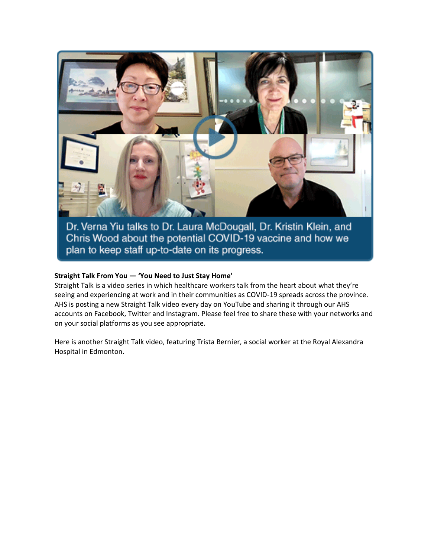

Dr. Verna Yiu talks to Dr. Laura McDougall, Dr. Kristin Klein, and Chris Wood about the potential COVID-19 vaccine and how we plan to keep staff up-to-date on its progress.

## **Straight Talk From You — 'You Need to Just Stay Home'**

Straight Talk is a video series in which healthcare workers talk from the heart about what they're seeing and experiencing at work and in their communities as COVID-19 spreads across the province. AHS is posting a new Straight Talk video every day on YouTube and sharing it through our AHS accounts on Facebook, Twitter and Instagram. Please feel free to share these with your networks and on your social platforms as you see appropriate.

Here is another Straight Talk video, featuring Trista Bernier, a social worker at the Royal Alexandra Hospital in Edmonton.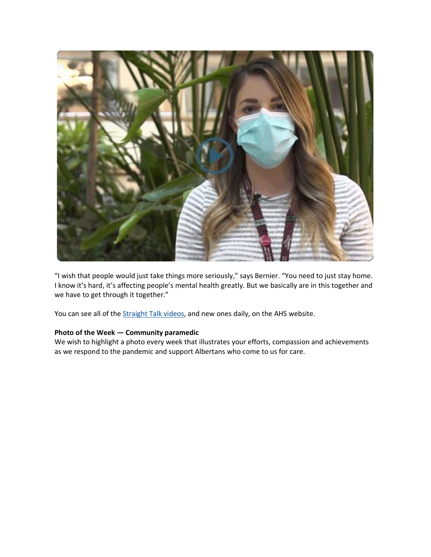

"I wish that people would just take things more seriously," says Bernier. "You need to just stay home. I know it's hard, it's affecting people's mental health greatly. But we basically are in this together and we have to get through it together."

You can see all of the **Straight Talk videos**, and new ones daily, on the AHS website.

## **Photo of the Week — Community paramedic**

We wish to highlight a photo every week that illustrates your efforts, compassion and achievements as we respond to the pandemic and support Albertans who come to us for care.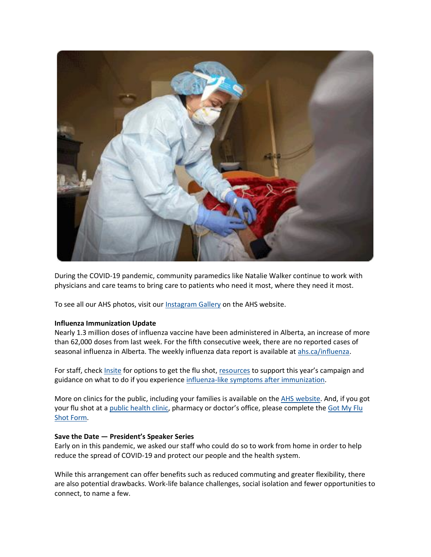

During the COVID-19 pandemic, community paramedics like Natalie Walker continue to work with physicians and care teams to bring care to patients who need it most, where they need it most.

To see all our AHS photos, visit our [Instagram Gallery](https://www.albertahealthservices.ca/news/Page15439.aspx#photos) on the AHS website.

### **Influenza Immunization Update**

Nearly 1.3 million doses of influenza vaccine have been administered in Alberta, an increase of more than 62,000 doses from last week. For the fifth consecutive week, there are no reported cases of seasonal influenza in Alberta. The weekly influenza data report is available at [ahs.ca/influenza.](http://www.ahs.ca/influenza)

For staff, check [Insite](https://insite.albertahealthservices.ca/hr/Page2108.aspx) for options to get the flu shot, [resources](https://insite.albertahealthservices.ca/hr/Page23712.aspx) to support this year's campaign and guidance on what to do if you experience [influenza-like symptoms after immunization.](https://insite.albertahealthservices.ca/Main/assets/hr/tms-hr-whs-influenza-immunization-after-care-covid.pdf)

More on clinics for the public, including your families is available on the [AHS website.](https://www.albertahealthservices.ca/influenza/influenza.aspx) And, if you got your flu shot at a [public health clinic](https://www.albertahealthservices.ca/influenza/influenza.aspx), pharmacy or doctor's office, please complete the Got My Flu [Shot Form.](https://insite.albertahealthservices.ca/hr/Page25170.aspx)

### **Save the Date — President's Speaker Series**

Early on in this pandemic, we asked our staff who could do so to work from home in order to help reduce the spread of COVID-19 and protect our people and the health system.

While this arrangement can offer benefits such as reduced commuting and greater flexibility, there are also potential drawbacks. Work-life balance challenges, social isolation and fewer opportunities to connect, to name a few.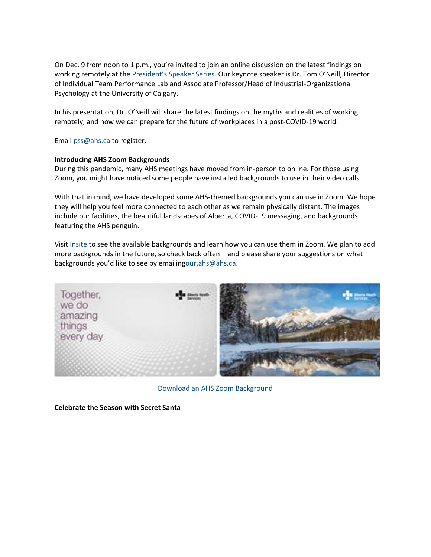On Dec. 9 from noon to 1 p.m., you're invited to join an online discussion on the latest findings on working remotely at the **President's Speaker Series**. Our keynote speaker is Dr. Tom O'Neill, Director of Individual Team Performance Lab and Associate Professor/Head of Industrial-Organizational Psychology at the University of Calgary.

In his presentation, Dr. O'Neill will share the latest findings on the myths and realities of working remotely, and how we can prepare for the future of workplaces in a post-COVID-19 world.

Email [pss@ahs.ca](mailto:pss@ahs.ca) to register.

## **Introducing AHS Zoom Backgrounds**

During this pandemic, many AHS meetings have moved from in-person to online. For those using Zoom, you might have noticed some people have installed backgrounds to use in their video calls.

With that in mind, we have developed some AHS-themed backgrounds you can use in Zoom. We hope they will help you feel more connected to each other as we remain physically distant. The images include our facilities, the beautiful landscapes of Alberta, COVID-19 messaging, and backgrounds featuring the AHS penguin.

Visit [Insite](https://insite.albertahealthservices.ca/tools/Page25406.aspx) to see the available backgrounds and learn how you can use them in Zoom. We plan to add more backgrounds in the future, so check back often – and please share your suggestions on what backgrounds you'd like to see by emailing[our.ahs@ahs.ca.](mailto:our.ahs@ahs.ca)



[Download an AHS Zoom Background](https://insite.albertahealthservices.ca/tools/Page25406.aspx)

**Celebrate the Season with Secret Santa**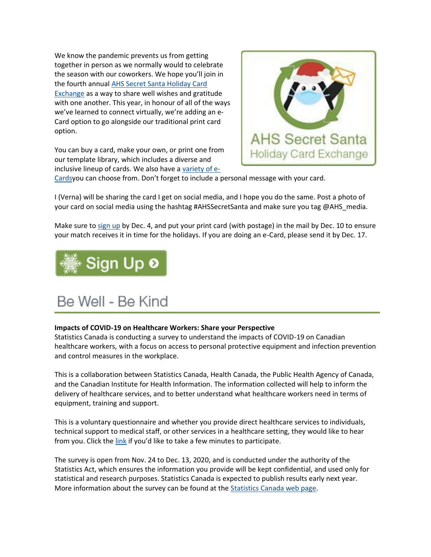We know the pandemic prevents us from getting together in person as we normally would to celebrate the season with our coworkers. We hope you'll join in the fourth annual [AHS Secret Santa Holiday Card](https://insite.albertahealthservices.ca/social/Page17561.aspx)  [Exchange](https://insite.albertahealthservices.ca/social/Page17561.aspx) as a way to share well wishes and gratitude with one another. This year, in honour of all of the ways we've learned to connect virtually, we're adding an e-Card option to go alongside our traditional print card option.

You can buy a card, make your own, or print one from our template library, which includes a diverse and inclusive lineup of cards. We also have a [variety of e-](https://insite.albertahealthservices.ca/hr/Page25277.aspx)



[Cards](https://insite.albertahealthservices.ca/hr/Page25277.aspx)you can choose from. Don't forget to include a personal message with your card.

I (Verna) will be sharing the card I get on social media, and I hope you do the same. Post a photo of your card on social media using the hashtag #AHSSecretSanta and make sure you tag @AHS\_media.

Make sure to [sign up](https://insite.albertahealthservices.ca/social/Page17561.aspx) by Dec. 4, and put your print card (with postage) in the mail by Dec. 10 to ensure your match receives it in time for the holidays. If you are doing an e-Card, please send it by Dec. 17.



# Be Well - Be Kind

## **Impacts of COVID-19 on Healthcare Workers: Share your Perspective**

Statistics Canada is conducting a survey to understand the impacts of COVID-19 on Canadian healthcare workers, with a focus on access to personal protective equipment and infection prevention and control measures in the workplace.

This is a collaboration between Statistics Canada, Health Canada, the Public Health Agency of Canada, and the Canadian Institute for Health Information. The information collected will help to inform the delivery of healthcare services, and to better understand what healthcare workers need in terms of equipment, training and support.

This is a voluntary questionnaire and whether you provide direct healthcare services to individuals, technical support to medical staff, or other services in a healthcare setting, they would like to hear from you. Click the [link](https://www.statcan.gc.ca/COVID-questionnaire-IPC) if you'd like to take a few minutes to participate.

The survey is open from Nov. 24 to Dec. 13, 2020, and is conducted under the authority of the Statistics Act, which ensures the information you provide will be kept confidential, and used only for statistical and research purposes. Statistics Canada is expected to publish results early next year. More information about the survey can be found at the [Statistics Canada web page.](https://www.statcan.gc.ca/COVID-IPC)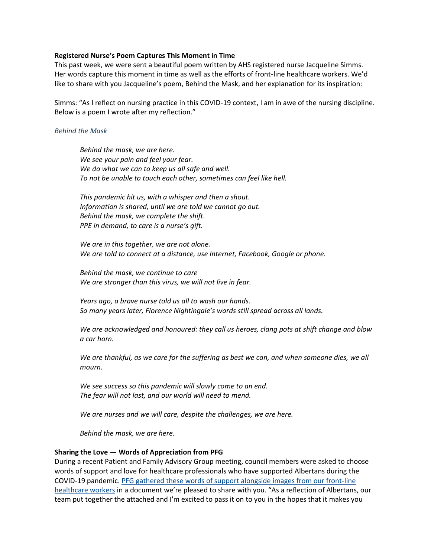### **Registered Nurse's Poem Captures This Moment in Time**

This past week, we were sent a beautiful poem written by AHS registered nurse Jacqueline Simms. Her words capture this moment in time as well as the efforts of front-line healthcare workers. We'd like to share with you Jacqueline's poem, Behind the Mask, and her explanation for its inspiration:

Simms: "As I reflect on nursing practice in this COVID-19 context, I am in awe of the nursing discipline. Below is a poem I wrote after my reflection."

#### *Behind the Mask*

*Behind the mask, we are here. We see your pain and feel your fear. We do what we can to keep us all safe and well. To not be unable to touch each other, sometimes can feel like hell.*

*This pandemic hit us, with a whisper and then a shout. Information is shared, until we are told we cannot go out. Behind the mask, we complete the shift. PPE in demand, to care is a nurse's gift.*

*We are in this together, we are not alone. We are told to connect at a distance, use Internet, Facebook, Google or phone.*

*Behind the mask, we continue to care We are stronger than this virus, we will not live in fear.*

*Years ago, a brave nurse told us all to wash our hands. So many years later, Florence Nightingale's words still spread across all lands.*

*We are acknowledged and honoured: they call us heroes, clang pots at shift change and blow a car horn.*

*We are thankful, as we care for the suffering as best we can, and when someone dies, we all mourn.*

*We see success so this pandemic will slowly come to an end. The fear will not last, and our world will need to mend.*

*We are nurses and we will care, despite the challenges, we are here.*

*Behind the mask, we are here.*

#### **Sharing the Love — Words of Appreciation from PFG**

During a recent Patient and Family Advisory Group meeting, council members were asked to choose words of support and love for healthcare professionals who have supported Albertans during the COVID-19 pandemic. [PFG gathered these words of support alongside images from our front-line](https://www.albertahealthservices.ca/assets/info/ppih/if-ppih-covid-19-pfg-thank-you-2020-11-20.pdf)  [healthcare workers](https://www.albertahealthservices.ca/assets/info/ppih/if-ppih-covid-19-pfg-thank-you-2020-11-20.pdf) in a document we're pleased to share with you. "As a reflection of Albertans, our team put together the attached and I'm excited to pass it on to you in the hopes that it makes you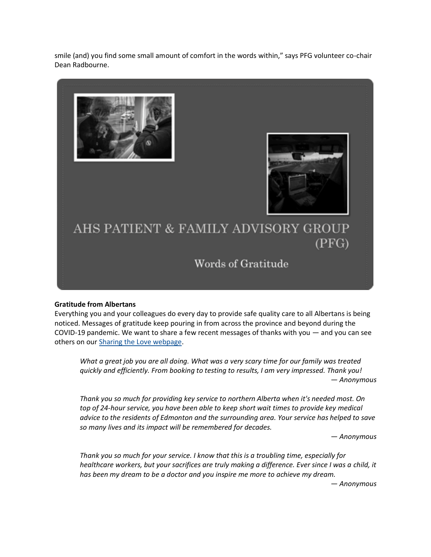smile (and) you find some small amount of comfort in the words within," says PFG volunteer co-chair Dean Radbourne.



### **Gratitude from Albertans**

Everything you and your colleagues do every day to provide safe quality care to all Albertans is being noticed. Messages of gratitude keep pouring in from across the province and beyond during the COVID-19 pandemic. We want to share a few recent messages of thanks with you — and you can see others on our [Sharing the Love webpage.](https://www.albertahealthservices.ca/about/page13797.aspx)

*What a great job you are all doing. What was a very scary time for our family was treated quickly and efficiently. From booking to testing to results, I am very impressed. Thank you! — Anonymous*

*Thank you so much for providing key service to northern Alberta when it's needed most. On top of 24-hour service, you have been able to keep short wait times to provide key medical advice to the residents of Edmonton and the surrounding area. Your service has helped to save so many lives and its impact will be remembered for decades.*

*— Anonymous*

*Thank you so much for your service. I know that this is a troubling time, especially for healthcare workers, but your sacrifices are truly making a difference. Ever since I was a child, it has been my dream to be a doctor and you inspire me more to achieve my dream.*

*— Anonymous*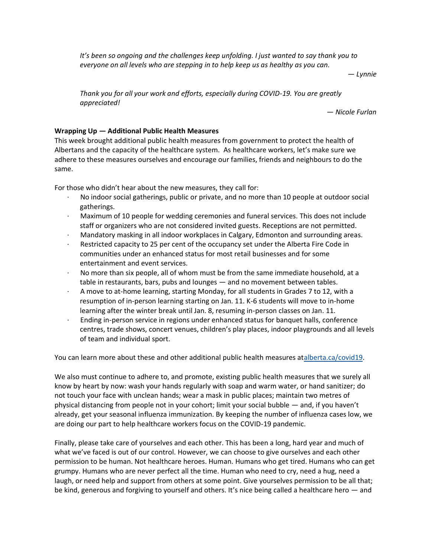*It's been so ongoing and the challenges keep unfolding. I just wanted to say thank you to everyone on all levels who are stepping in to help keep us as healthy as you can.*

*— Lynnie*

*Thank you for all your work and efforts, especially during COVID-19. You are greatly appreciated!*

*— Nicole Furlan*

## **Wrapping Up — Additional Public Health Measures**

This week brought additional public health measures from government to protect the health of Albertans and the capacity of the healthcare system. As healthcare workers, let's make sure we adhere to these measures ourselves and encourage our families, friends and neighbours to do the same.

For those who didn't hear about the new measures, they call for:

- · No indoor social gatherings, public or private, and no more than 10 people at outdoor social gatherings.
- · Maximum of 10 people for wedding ceremonies and funeral services. This does not include staff or organizers who are not considered invited guests. Receptions are not permitted.
- · Mandatory masking in all indoor workplaces in Calgary, Edmonton and surrounding areas.
- Restricted capacity to 25 per cent of the occupancy set under the Alberta Fire Code in communities under an enhanced status for most retail businesses and for some entertainment and event services.
- · No more than six people, all of whom must be from the same immediate household, at a table in restaurants, bars, pubs and lounges — and no movement between tables.
- · A move to at-home learning, starting Monday, for all students in Grades 7 to 12, with a resumption of in-person learning starting on Jan. 11. K-6 students will move to in-home learning after the winter break until Jan. 8, resuming in-person classes on Jan. 11.
- · Ending in-person service in regions under enhanced status for banquet halls, conference centres, trade shows, concert venues, children's play places, indoor playgrounds and all levels of team and individual sport.

You can learn more about these and other additional public health measures a[talberta.ca/covid19.](http://www.alberta.ca/covid)

We also must continue to adhere to, and promote, existing public health measures that we surely all know by heart by now: wash your hands regularly with soap and warm water, or hand sanitizer; do not touch your face with unclean hands; wear a mask in public places; maintain two metres of physical distancing from people not in your cohort; limit your social bubble — and, if you haven't already, get your seasonal influenza immunization. By keeping the number of influenza cases low, we are doing our part to help healthcare workers focus on the COVID-19 pandemic.

Finally, please take care of yourselves and each other. This has been a long, hard year and much of what we've faced is out of our control. However, we can choose to give ourselves and each other permission to be human. Not healthcare heroes. Human. Humans who get tired. Humans who can get grumpy. Humans who are never perfect all the time. Human who need to cry, need a hug, need a laugh, or need help and support from others at some point. Give yourselves permission to be all that; be kind, generous and forgiving to yourself and others. It's nice being called a healthcare hero  $-$  and